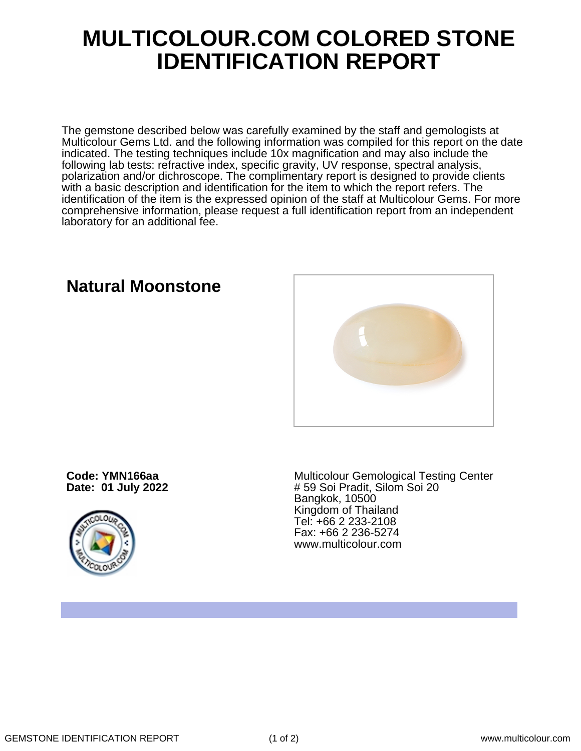## **MULTICOLOUR.COM COLORED STONE IDENTIFICATION REPORT**

The gemstone described below was carefully examined by the staff and gemologists at Multicolour Gems Ltd. and the following information was compiled for this report on the date indicated. The testing techniques include 10x magnification and may also include the following lab tests: refractive index, specific gravity, UV response, spectral analysis, polarization and/or dichroscope. The complimentary report is designed to provide clients with a basic description and identification for the item to which the report refers. The identification of the item is the expressed opinion of the staff at Multicolour Gems. For more comprehensive information, please request a full identification report from an independent laboratory for an additional fee.

### **Natural Moonstone**

**Code: YMN166aa Date: 01 July 2022**



Multicolour Gemological Testing Center # 59 Soi Pradit, Silom Soi 20 Bangkok, 10500 Kingdom of Thailand Tel: +66 2 233-2108 Fax: +66 2 236-5274 www.multicolour.com